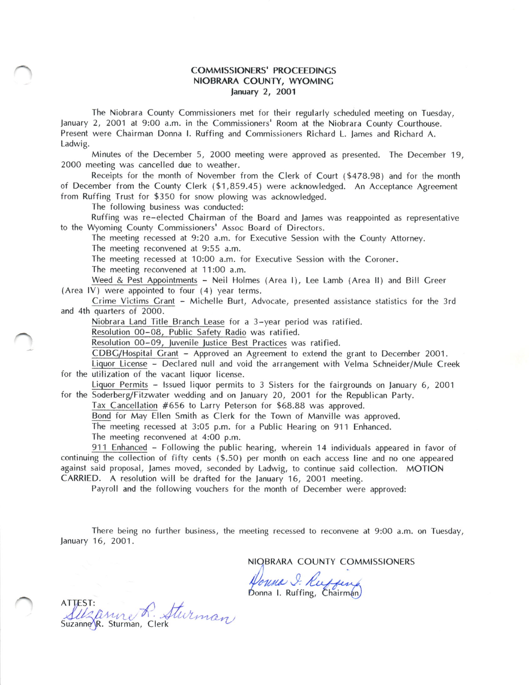## COMMISSIONERS' PROCEEDINCS NIOBRARA COUNTY. WYOMING lanuary 2, 2OO1

The Niobrara County Commissioners met for their regularly scheduled meeting on Tuesday, January 2, 2001 at 9:00 a.m. in the Commissioners' Room at the Niobrara County Courthouse. Present were Chairman Donna l. Ruffing and Commissioners Richard L. James and Richard A. Ladwig.

Minutes of the December 5, 2000 meeting were approved as presented. The December 19, 2000 meeting was cancelled due to weather.

Receipts for the month of November from the Clerk of Court (\$478.98) and for the month of December from the County Clerk (\$1,859.45) were acknowledged. An Acceptance Agreement from Ruffing Trust for \$350 for snow plowing was acknowledged.

The following business was conducted:

Ruffing was re-elected Chairman of the Board and James was reappointed as representative to the Wyoming County Commissioners' Assoc Board of Directors.

The meeting recessed at 9:2O a.m. for Executive Session with the County Attorney. The meeting reconvened at 9:55 a.m.

The meeting recessed at 10:00 a.m. for Executive Session with the Coroner.

The meeting reconvened at 11:00 a.m.

Weed & Pest Appointments - Neil Holmes (Area l), Lee Lamb (Area ll) and Bill Creer (Area lV) were appointed to four (4) year terms,

Crime Victims Crant - Michelle Burt, Advocate, presented assistance statistics for the 3rd and 4th quarters of 2000.

Niobrara Land Title Branch Lease for a 3-year period was ratified.

Resolution 00-08, Public Safety Radio was ratified.

Resolution 00-09, Juvenile Justice Best Practices was ratified.

CDBC/Hospital Crant - Approved an Agreement to extend the grant to December 2001.

Liquor License - Declared null and void the arrangement with Velma Schneider/Mule Creek for the utilization of the vacant liquor license.

Liquor Permits - lssued liquor permits to 3 Sisters for the fairgrounds on lanuary 6, <sup>2001</sup> for the Soderberg/Fitzwater wedding and on lanuary 20, 2OO1 for the Republican Party.

Tax Cancellation #656 to Larry Peterson for \$68.88 was approved.

Bond for May Ellen Smith as Clerk for the Town of Manville was approved.

The meeting recessed at 3:05 p.m. for a Public Hearing on 911 Enhanced.

The meeting reconvened at 4:00 p.m.

<sup>91</sup>1 Enhanced - Following the public hearing, wherein 14 individuals appeared in favor of continuing the collection of fifty cents (\$.50) per month on each access line and no one appeared against said proposal, lames moved, seconded by Ladwig, to continue said collection. MOTION CARRIED. A resolution will be drafted for the January 16, 2001 meeting.

Payroll and the following vouchers for the month of December were approved:

There being no further business, the meeting recessed to reconvene at 9:00 a.m. on Tuesday, January 16, 2O01.

NIQBRARA COUNTY COMMISSIONERS

Pouna I. Ruffing

Donna I. Ruffing, Chairman)

ATTEST:  $\bigcirc$   $f$ fusi.<br>Suzanne jr. Sturman, Clerk